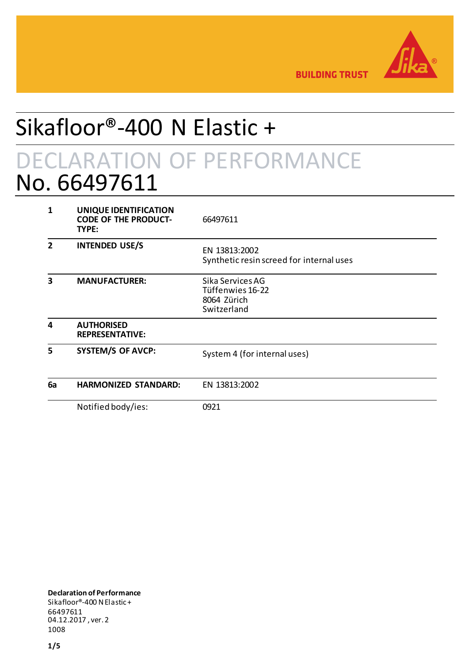

**BUILDING TRUST** 

# Sikafloor®-400 N Elastic + DECLARATION OF PERFORMANCE No. 66497611

| 1              | UNIQUE IDENTIFICATION<br><b>CODE OF THE PRODUCT-</b><br>TYPE: | 66497611                                                           |
|----------------|---------------------------------------------------------------|--------------------------------------------------------------------|
| $\overline{2}$ | <b>INTENDED USE/S</b>                                         | EN 13813:2002<br>Synthetic resin screed for internal uses          |
| 3              | <b>MANUFACTURER:</b>                                          | Sika Services AG<br>Tüffenwies 16-22<br>8064 Zürich<br>Switzerland |
| 4              | <b>AUTHORISED</b><br><b>REPRESENTATIVE:</b>                   |                                                                    |
| 5              | <b>SYSTEM/S OF AVCP:</b>                                      | System 4 (for internal uses)                                       |
| 6a             | <b>HARMONIZED STANDARD:</b>                                   | EN 13813:2002                                                      |
|                | Notified body/ies:                                            | 0921                                                               |

**Declaration of Performance** Sikafloor®-400 N Elastic + 66497611 04.12.2017 , ver. 2 1008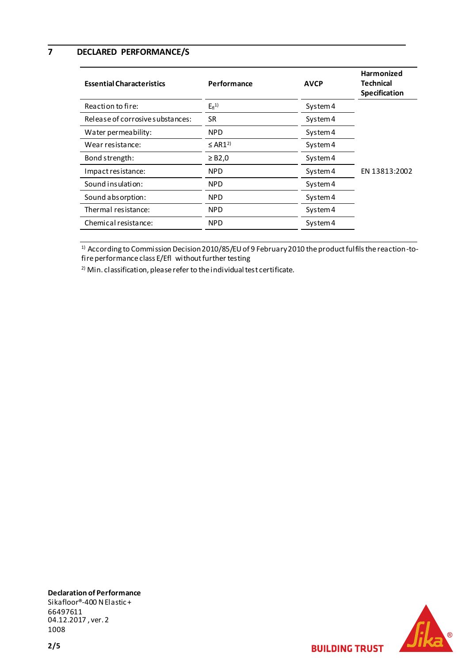**7 DECLARED PERFORMANCE/S**

| <b>Essential Characteristics</b> | Performance              | <b>AVCP</b> | Harmonized<br><b>Technical</b><br>Specification |
|----------------------------------|--------------------------|-------------|-------------------------------------------------|
| Reaction to fire:                | $E_{fl}$ <sup>1)</sup>   | System 4    |                                                 |
| Release of corrosive substances: | <b>SR</b>                | System 4    |                                                 |
| Water permeability:              | <b>NPD</b>               | System 4    |                                                 |
| Wear resistance:                 | $\leq$ AR1 <sup>2)</sup> | System 4    |                                                 |
| Bond strength:                   | $\geq$ B2,0              | System 4    |                                                 |
| Impact resistance:               | NPD                      | System 4    | EN 13813:2002                                   |
| Sound insulation:                | <b>NPD</b>               | System 4    |                                                 |
| Sound absorption:                | <b>NPD</b>               | System 4    |                                                 |
| Thermal resistance:              | <b>NPD</b>               | System 4    |                                                 |
| Chemical resistance:             | <b>NPD</b>               | System 4    |                                                 |

 $^{\rm 1)}$  According to Commission Decision 2010/85/EU of 9 February 2010 the product fulfils the reaction -tofire performance class E/Efl without further testing

 $2)$  Min. classification, please refer to the individual test certificate.



**Declaration of Performance** Sikafloor®-400 N Elastic + 66497611 04.12.2017 , ver. 2 1008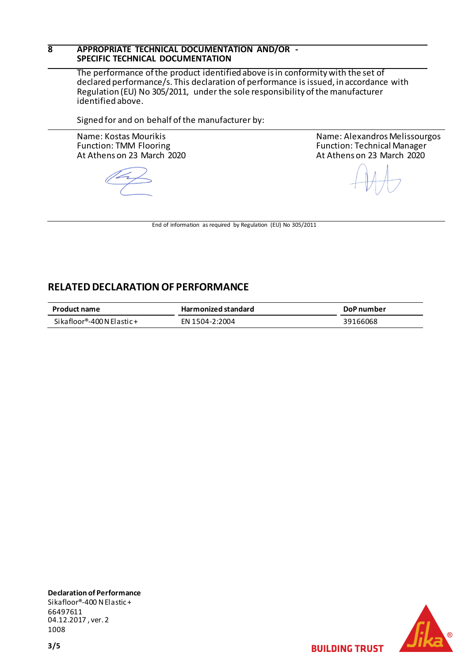### **8 APPROPRIATE TECHNICAL DOCUMENTATION AND/OR - SPECIFIC TECHNICAL DOCUMENTATION**

The performance of the product identified above is in conformity with the set of declared performance/s. This declaration of performance is issued, in accordance with Regulation (EU) No 305/2011, under the sole responsibility of the manufacturer identified above.

Signed for and on behalf of the manufacturer by:

Name: Kostas Mourikis Function: TMM Flooring At Athens on 23 March 2020

Name: Alexandros Melissourgos Function: Technical Manager At Athens on 23 March 2020

End of information as required by Regulation (EU) No 305/2011

## **RELATED DECLARATION OF PERFORMANCE**

| <b>Product name</b>        | <b>Harmonized standard</b> | DoP number |
|----------------------------|----------------------------|------------|
| Sikafloor®-400 N Elastic + | FN 1504-2:2004             | 39166068   |

**Declaration of Performance** Sikafloor®-400 N Elastic + 66497611 04.12.2017 , ver. 2 1008



**BUILDING TRUST**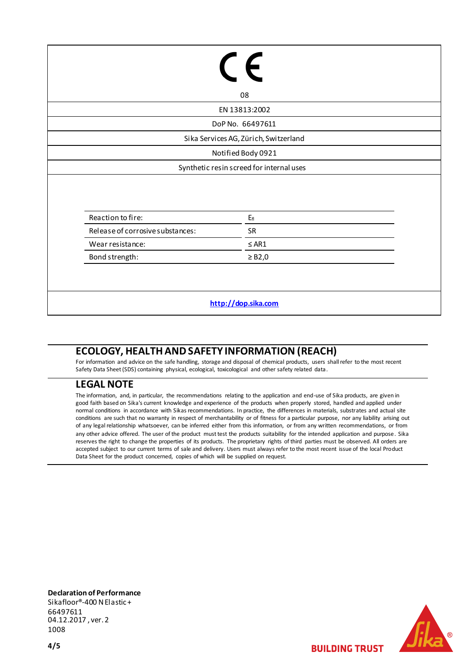|                                  | $\epsilon$                               |
|----------------------------------|------------------------------------------|
|                                  | 08                                       |
|                                  | EN 13813:2002                            |
|                                  | DoP No. 66497611                         |
|                                  | Sika Services AG, Zürich, Switzerland    |
|                                  | Notified Body 0921                       |
|                                  | Synthetic resin screed for internal uses |
|                                  |                                          |
| Reaction to fire:                | $E_{fl}$                                 |
| Release of corrosive substances: | SR                                       |
| Wear resistance:                 | $\leq$ AR1                               |
| Bond strength:                   | $\geq$ B2,0                              |
|                                  |                                          |

## **ECOLOGY, HEALTH AND SAFETY INFORMATION (REACH)**

For information and advice on the safe handling, storage and disposal of chemical products, users shall refer to the most recent Safety Data Sheet (SDS) containing physical, ecological, toxicological and other safety related data.

## **LEGAL NOTE**

The information, and, in particular, the recommendations relating to the application and end-use of Sika products, are given in good faith based on Sika's current knowledge and experience of the products when properly stored, handled and applied under normal conditions in accordance with Sikas recommendations. In practice, the differences in materials, substrates and actual site conditions are such that no warranty in respect of merchantability or of fitness for a particular purpose, nor any liability arising out of any legal relationship whatsoever, can be inferred either from this information, or from any written recommendations, or from any other advice offered. The user of the product must test the products suitability for the intended application and purpose. Sika reserves the right to change the properties of its products. The proprietary rights of third parties must be observed. All orders are accepted subject to our current terms of sale and delivery. Users must always refer to the most recent issue of the local Product Data Sheet for the product concerned, copies of which will be supplied on request.

**Declaration of Performance** Sikafloor®-400 N Elastic + 66497611 04.12.2017 , ver. 2 1008

**BUILDING TRUST**